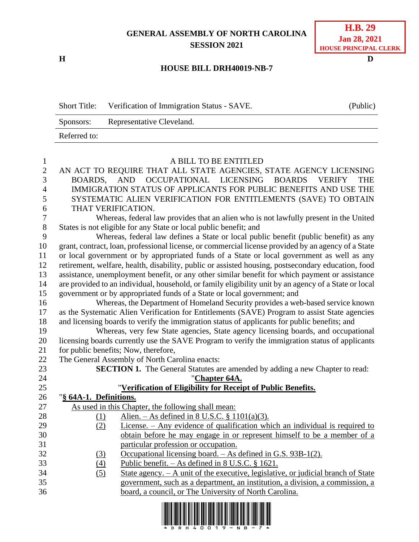## **GENERAL ASSEMBLY OF NORTH CAROLINA SESSION 2021**

**H D**

## **H.B. 29 Jan 28, 2021 HOUSE PRINCIPAL CLERK**

## **HOUSE BILL DRH40019-NB-7**

| <b>Short Title:</b> | Verification of Immigration Status - SAVE. | (Public) |
|---------------------|--------------------------------------------|----------|
| Sponsors:           | Representative Cleveland.                  |          |
| Referred to:        |                                            |          |

| A BILL TO BE ENTITLED<br>$\mathbf{1}$                                                                             |                                                                                              |  |  |
|-------------------------------------------------------------------------------------------------------------------|----------------------------------------------------------------------------------------------|--|--|
| $\overline{2}$<br>AN ACT TO REQUIRE THAT ALL STATE AGENCIES, STATE AGENCY LICENSING                               |                                                                                              |  |  |
| 3<br>BOARDS, AND OCCUPATIONAL LICENSING<br><b>BOARDS</b><br><b>VERIFY</b>                                         | <b>THE</b>                                                                                   |  |  |
| $\overline{4}$<br>IMMIGRATION STATUS OF APPLICANTS FOR PUBLIC BENEFITS AND USE THE                                |                                                                                              |  |  |
| 5<br>SYSTEMATIC ALIEN VERIFICATION FOR ENTITLEMENTS (SAVE) TO OBTAIN                                              |                                                                                              |  |  |
| 6<br>THAT VERIFICATION.                                                                                           |                                                                                              |  |  |
| $\boldsymbol{7}$<br>Whereas, federal law provides that an alien who is not lawfully present in the United         |                                                                                              |  |  |
| States is not eligible for any State or local public benefit; and                                                 |                                                                                              |  |  |
| Whereas, federal law defines a State or local public benefit (public benefit) as any                              |                                                                                              |  |  |
| grant, contract, loan, professional license, or commercial license provided by an agency of a State               |                                                                                              |  |  |
| or local government or by appropriated funds of a State or local government as well as any                        |                                                                                              |  |  |
| retirement, welfare, health, disability, public or assisted housing, postsecondary education, food                |                                                                                              |  |  |
| assistance, unemployment benefit, or any other similar benefit for which payment or assistance                    |                                                                                              |  |  |
| are provided to an individual, household, or family eligibility unit by an agency of a State or local<br>14<br>15 |                                                                                              |  |  |
| government or by appropriated funds of a State or local government; and                                           |                                                                                              |  |  |
| Whereas, the Department of Homeland Security provides a web-based service known                                   |                                                                                              |  |  |
| 17<br>as the Systematic Alien Verification for Entitlements (SAVE) Program to assist State agencies               |                                                                                              |  |  |
| 18                                                                                                                | and licensing boards to verify the immigration status of applicants for public benefits; and |  |  |
| Whereas, very few State agencies, State agency licensing boards, and occupational<br>19                           |                                                                                              |  |  |
| licensing boards currently use the SAVE Program to verify the immigration status of applicants<br>20              |                                                                                              |  |  |
| for public benefits; Now, therefore,<br>21                                                                        |                                                                                              |  |  |
| 22<br>The General Assembly of North Carolina enacts:                                                              |                                                                                              |  |  |
| 23<br><b>SECTION 1.</b> The General Statutes are amended by adding a new Chapter to read:                         |                                                                                              |  |  |
| 24<br>"Chapter 64A.                                                                                               |                                                                                              |  |  |
| 25<br>"Verification of Eligibility for Receipt of Public Benefits.                                                |                                                                                              |  |  |
| 26<br>"§ 64A-1. Definitions.                                                                                      |                                                                                              |  |  |
| 27<br>As used in this Chapter, the following shall mean:                                                          |                                                                                              |  |  |
| Alien. $-$ As defined in 8 U.S.C. § 1101(a)(3).<br>28<br>(1)<br>29                                                |                                                                                              |  |  |
| License. - Any evidence of qualification which an individual is required to<br>(2)<br>30                          |                                                                                              |  |  |
| obtain before he may engage in or represent himself to be a member of a<br>31                                     |                                                                                              |  |  |
| particular profession or occupation.<br>32<br>Occupational licensing board. – As defined in G.S. 93B-1(2).        |                                                                                              |  |  |
| (3)<br>33<br>(4)<br>Public benefit. $-$ As defined in 8 U.S.C. § 1621.                                            |                                                                                              |  |  |
| 34<br>(5)<br>State agency. $- A$ unit of the executive, legislative, or judicial branch of State                  |                                                                                              |  |  |
| 35<br>government, such as a department, an institution, a division, a commission, a                               |                                                                                              |  |  |
| 36<br>board, a council, or The University of North Carolina.                                                      |                                                                                              |  |  |
|                                                                                                                   |                                                                                              |  |  |